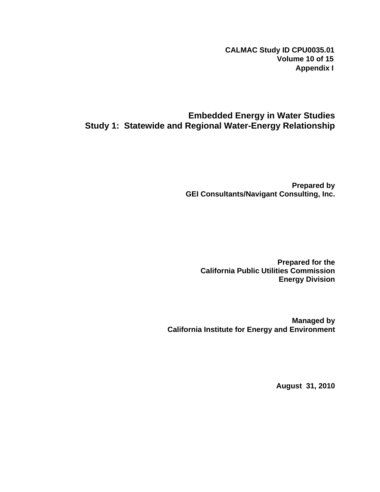**CALMAC Study ID CPU0035.01 Volume 10 of 15 Appendix I**

# **Embedded Energy in Water Studies Study 1: Statewide and Regional Water-Energy Relationship**

**Prepared by GEI Consultants/Navigant Consulting, Inc.** 

**Prepared for the California Public Utilities Commission Energy Division** 

**Managed by California Institute for Energy and Environment** 

**August 31, 2010**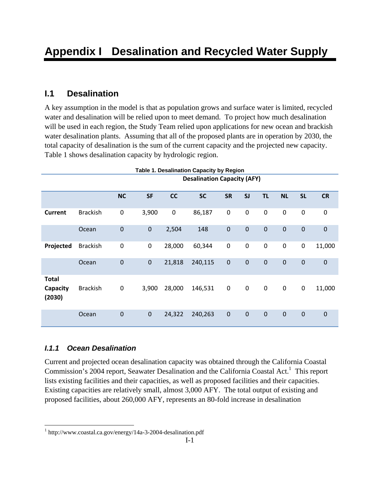# **I.1 Desalination**

A key assumption in the model is that as population grows and surface water is limited, recycled water and desalination will be relied upon to meet demand. To project how much desalination will be used in each region, the Study Team relied upon applications for new ocean and brackish water desalination plants. Assuming that all of the proposed plants are in operation by 2030, the total capacity of desalination is the sum of the current capacity and the projected new capacity. Table 1 shows desalination capacity by hydrologic region.

|                                    | Table 1. Desalination Capacity by Region |                  |             |                  |                                    |                  |                  |                  |                  |                  |                  |
|------------------------------------|------------------------------------------|------------------|-------------|------------------|------------------------------------|------------------|------------------|------------------|------------------|------------------|------------------|
|                                    |                                          |                  |             |                  | <b>Desalination Capacity (AFY)</b> |                  |                  |                  |                  |                  |                  |
|                                    |                                          | <b>NC</b>        | <b>SF</b>   | cc               | <b>SC</b>                          | <b>SR</b>        | SI               | <b>TL</b>        | <b>NL</b>        | <b>SL</b>        | <b>CR</b>        |
| <b>Current</b>                     | <b>Brackish</b>                          | $\boldsymbol{0}$ | 3,900       | $\boldsymbol{0}$ | 86,187                             | $\pmb{0}$        | $\boldsymbol{0}$ | $\boldsymbol{0}$ | $\boldsymbol{0}$ | $\boldsymbol{0}$ | $\boldsymbol{0}$ |
|                                    | Ocean                                    | $\mathbf 0$      | $\mathbf 0$ | 2,504            | 148                                | $\boldsymbol{0}$ | $\boldsymbol{0}$ | $\mathbf 0$      | $\mathbf 0$      | $\mathbf 0$      | $\mathbf 0$      |
| Projected                          | <b>Brackish</b>                          | $\boldsymbol{0}$ | 0           | 28,000           | 60,344                             | $\pmb{0}$        | $\boldsymbol{0}$ | $\boldsymbol{0}$ | $\boldsymbol{0}$ | $\boldsymbol{0}$ | 11,000           |
|                                    | Ocean                                    | $\mathbf 0$      | $\mathbf 0$ | 21,818           | 240,115                            | $\mathbf 0$      | $\boldsymbol{0}$ | $\mathbf 0$      | $\mathbf 0$      | $\mathbf 0$      | $\mathbf 0$      |
| <b>Total</b><br>Capacity<br>(2030) | <b>Brackish</b>                          | $\boldsymbol{0}$ | 3,900       | 28,000           | 146,531                            | $\mathbf 0$      | $\mathbf 0$      | $\pmb{0}$        | $\pmb{0}$        | $\boldsymbol{0}$ | 11,000           |
|                                    | Ocean                                    | $\mathbf 0$      | $\mathbf 0$ | 24,322           | 240,263                            | $\pmb{0}$        | $\boldsymbol{0}$ | $\mathbf 0$      | $\mathbf 0$      | $\mathbf 0$      | $\mathbf 0$      |

# *I.1.1 Ocean Desalination*

 $\overline{a}$ 

Current and projected ocean desalination capacity was obtained through the California Coastal Commission's 2004 report, Seawater Desalination and the California Coastal Act.<sup>1</sup> This report lists existing facilities and their capacities, as well as proposed facilities and their capacities. Existing capacities are relatively small, almost 3,000 AFY. The total output of existing and proposed facilities, about 260,000 AFY, represents an 80-fold increase in desalination

<sup>&</sup>lt;sup>1</sup> http://www.coastal.ca.gov/energy/14a-3-2004-desalination.pdf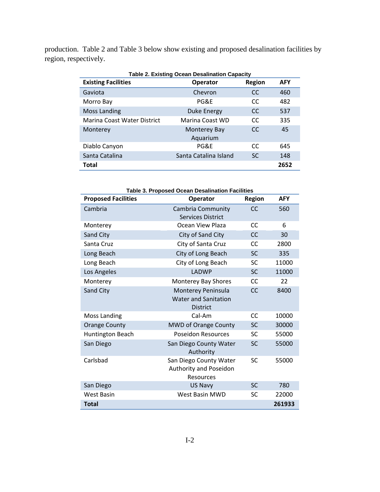production. Table 2 and Table 3 below show existing and proposed desalination facilities by region, respectively.

| <b>Table 2. Existing Ocean Desalination Capacity</b> |                          |               |            |  |  |  |  |  |  |  |  |
|------------------------------------------------------|--------------------------|---------------|------------|--|--|--|--|--|--|--|--|
| <b>Existing Facilities</b>                           | <b>Operator</b>          | <b>Region</b> | <b>AFY</b> |  |  |  |  |  |  |  |  |
| Gaviota                                              | Chevron                  | <sub>CC</sub> | 460        |  |  |  |  |  |  |  |  |
| Morro Bay                                            | PG&F                     | CC.           | 482        |  |  |  |  |  |  |  |  |
| <b>Moss Landing</b>                                  | <b>Duke Energy</b>       | <sub>CC</sub> | 537        |  |  |  |  |  |  |  |  |
| Marina Coast Water District                          | Marina Coast WD          | CC.           | 335        |  |  |  |  |  |  |  |  |
| Monterey                                             | Monterey Bay<br>Aquarium | CC.           | 45         |  |  |  |  |  |  |  |  |
| Diablo Canyon                                        | PG&F                     | CC.           | 645        |  |  |  |  |  |  |  |  |
| Santa Catalina                                       | Santa Catalina Island    | <b>SC</b>     | 148        |  |  |  |  |  |  |  |  |
| Total                                                |                          |               | 2652       |  |  |  |  |  |  |  |  |

| Table 3. Proposed Ocean Desalination Facilities |                             |               |            |  |  |  |  |  |  |
|-------------------------------------------------|-----------------------------|---------------|------------|--|--|--|--|--|--|
| <b>Proposed Facilities</b>                      | <b>Operator</b>             | <b>Region</b> | <b>AFY</b> |  |  |  |  |  |  |
| Cambria                                         | Cambria Community           | CC            | 560        |  |  |  |  |  |  |
|                                                 | <b>Services District</b>    |               |            |  |  |  |  |  |  |
| Monterey                                        | Ocean View Plaza            | CC            | 6          |  |  |  |  |  |  |
| Sand City                                       | City of Sand City           | <b>CC</b>     | 30         |  |  |  |  |  |  |
| Santa Cruz                                      | City of Santa Cruz          | CC            | 2800       |  |  |  |  |  |  |
| Long Beach                                      | City of Long Beach          | <b>SC</b>     | 335        |  |  |  |  |  |  |
| Long Beach                                      | City of Long Beach          | <b>SC</b>     | 11000      |  |  |  |  |  |  |
| Los Angeles                                     | LADWP                       | <b>SC</b>     | 11000      |  |  |  |  |  |  |
| Monterey                                        | Monterey Bay Shores         | <b>CC</b>     | 22         |  |  |  |  |  |  |
| Sand City                                       | Monterey Peninsula          | <b>CC</b>     | 8400       |  |  |  |  |  |  |
|                                                 | <b>Water and Sanitation</b> |               |            |  |  |  |  |  |  |
|                                                 | <b>District</b>             |               |            |  |  |  |  |  |  |
| <b>Moss Landing</b>                             | Cal-Am                      | CC            | 10000      |  |  |  |  |  |  |
| <b>Orange County</b>                            | <b>MWD of Orange County</b> | <b>SC</b>     | 30000      |  |  |  |  |  |  |
| Huntington Beach                                | <b>Poseidon Resources</b>   | <b>SC</b>     | 55000      |  |  |  |  |  |  |
| San Diego                                       | San Diego County Water      | <b>SC</b>     | 55000      |  |  |  |  |  |  |
|                                                 | Authority                   |               |            |  |  |  |  |  |  |
| Carlsbad                                        | San Diego County Water      | <b>SC</b>     | 55000      |  |  |  |  |  |  |
|                                                 | Authority and Poseidon      |               |            |  |  |  |  |  |  |
|                                                 | Resources                   |               |            |  |  |  |  |  |  |
| San Diego                                       | <b>US Navy</b>              | <b>SC</b>     | 780        |  |  |  |  |  |  |
| <b>West Basin</b>                               | <b>West Basin MWD</b>       | <b>SC</b>     | 22000      |  |  |  |  |  |  |
| Total                                           |                             |               | 261933     |  |  |  |  |  |  |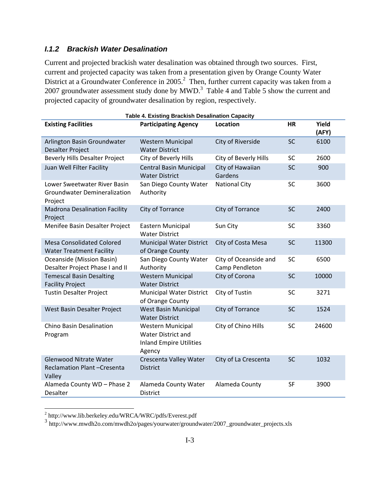### *I.1.2 Brackish Water Desalination*

Current and projected brackish water desalination was obtained through two sources. First, current and projected capacity was taken from a presentation given by Orange County Water District at a Groundwater Conference in  $2005$ .<sup>2</sup> Then, further current capacity was taken from a 2007 groundwater assessment study done by  $MWD.<sup>3</sup>$  Table 4 and Table 5 show the current and projected capacity of groundwater desalination by region, respectively.

|                                                                                | <b>Table 4. Existing Brackish Desalination Capacity</b>                                           |                                         |           |                |
|--------------------------------------------------------------------------------|---------------------------------------------------------------------------------------------------|-----------------------------------------|-----------|----------------|
| <b>Existing Facilities</b>                                                     | <b>Participating Agency</b>                                                                       | Location                                | <b>HR</b> | Yield<br>(AFY) |
| Arlington Basin Groundwater<br><b>Desalter Project</b>                         | <b>Western Municipal</b><br><b>Water District</b>                                                 | City of Riverside                       | <b>SC</b> | 6100           |
| <b>Beverly Hills Desalter Project</b>                                          | City of Beverly Hills                                                                             | City of Beverly Hills                   | <b>SC</b> | 2600           |
| Juan Well Filter Facility                                                      | <b>Central Basin Municipal</b><br><b>Water District</b>                                           | City of Hawaiian<br>Gardens             | <b>SC</b> | 900            |
| Lower Sweetwater River Basin<br><b>Groundwater Demineralization</b><br>Project | San Diego County Water<br>Authority                                                               | <b>National City</b>                    | <b>SC</b> | 3600           |
| <b>Madrona Desalination Facility</b><br>Project                                | City of Torrance                                                                                  | City of Torrance                        | <b>SC</b> | 2400           |
| Menifee Basin Desalter Project                                                 | Eastern Municipal<br><b>Water District</b>                                                        | Sun City                                | <b>SC</b> | 3360           |
| <b>Mesa Consolidated Colored</b><br><b>Water Treatment Facility</b>            | <b>Municipal Water District</b><br>of Orange County                                               | City of Costa Mesa                      | SC        | 11300          |
| Oceanside (Mission Basin)<br>Desalter Project Phase I and II                   | San Diego County Water<br>Authority                                                               | City of Oceanside and<br>Camp Pendleton | <b>SC</b> | 6500           |
| <b>Temescal Basin Desalting</b><br><b>Facility Project</b>                     | <b>Western Municipal</b><br><b>Water District</b>                                                 | City of Corona                          | SC        | 10000          |
| <b>Tustin Desalter Project</b>                                                 | <b>Municipal Water District</b><br>of Orange County                                               | City of Tustin                          | <b>SC</b> | 3271           |
| West Basin Desalter Project                                                    | West Basin Municipal<br><b>Water District</b>                                                     | City of Torrance                        | <b>SC</b> | 1524           |
| <b>Chino Basin Desalination</b><br>Program                                     | <b>Western Municipal</b><br><b>Water District and</b><br><b>Inland Empire Utilities</b><br>Agency | City of Chino Hills                     | <b>SC</b> | 24600          |
| <b>Glenwood Nitrate Water</b><br>Reclamation Plant-Cresenta<br>Valley          | Crescenta Valley Water<br><b>District</b>                                                         | City of La Crescenta                    | <b>SC</b> | 1032           |
| Alameda County WD - Phase 2<br><b>Desalter</b>                                 | Alameda County Water<br><b>District</b>                                                           | Alameda County                          | SF        | 3900           |

 2 http://www.lib.berkeley.edu/WRCA/WRC/pdfs/Everest.pdf

<sup>&</sup>lt;sup>3</sup> http://www.mwdh2o.com/mwdh2o/pages/yourwater/groundwater/2007\_groundwater\_projects.xls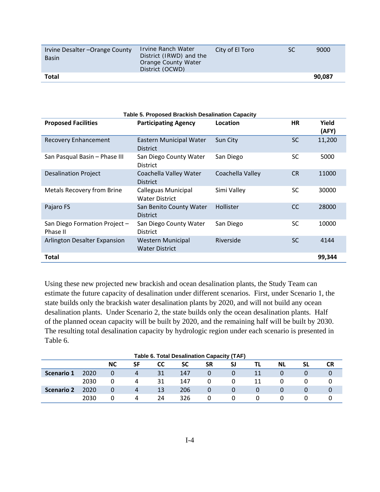| Irvine Desalter-Orange County<br><b>Basin</b> | Irvine Ranch Water<br>District (IRWD) and the<br>Orange County Water<br>District (OCWD) | City of El Toro | SC | 9000   |
|-----------------------------------------------|-----------------------------------------------------------------------------------------|-----------------|----|--------|
| Total                                         |                                                                                         |                 |    | 90.087 |

| <b>Table 5. Proposed Brackish Desalination Capacity</b> |                                                   |                  |               |                       |  |  |  |  |  |  |
|---------------------------------------------------------|---------------------------------------------------|------------------|---------------|-----------------------|--|--|--|--|--|--|
| <b>Proposed Facilities</b>                              | <b>Participating Agency</b>                       | Location         | <b>HR</b>     | <b>Yield</b><br>(AFY) |  |  |  |  |  |  |
| <b>Recovery Enhancement</b>                             | Eastern Municipal Water<br><b>District</b>        | Sun City         | <b>SC</b>     | 11,200                |  |  |  |  |  |  |
| San Pasqual Basin - Phase III                           | San Diego County Water<br><b>District</b>         | San Diego        | SC            | 5000                  |  |  |  |  |  |  |
| <b>Desalination Project</b>                             | Coachella Valley Water<br><b>District</b>         | Coachella Valley | <b>CR</b>     | 11000                 |  |  |  |  |  |  |
| <b>Metals Recovery from Brine</b>                       | Calleguas Municipal<br><b>Water District</b>      | Simi Valley      | SC            | 30000                 |  |  |  |  |  |  |
| Pajaro FS                                               | San Benito County Water<br><b>District</b>        | Hollister        | <sub>CC</sub> | 28000                 |  |  |  |  |  |  |
| San Diego Formation Project -<br>Phase II               | San Diego County Water<br><b>District</b>         | San Diego        | SC            | 10000                 |  |  |  |  |  |  |
| <b>Arlington Desalter Expansion</b>                     | <b>Western Municipal</b><br><b>Water District</b> | Riverside        | <b>SC</b>     | 4144                  |  |  |  |  |  |  |
| Total                                                   |                                                   |                  |               | 99,344                |  |  |  |  |  |  |

Using these new projected new brackish and ocean desalination plants, the Study Team can estimate the future capacity of desalination under different scenarios. First, under Scenario 1, the state builds only the brackish water desalination plants by 2020, and will not build any ocean desalination plants. Under Scenario 2, the state builds only the ocean desalination plants. Half of the planned ocean capacity will be built by 2020, and the remaining half will be built by 2030. The resulting total desalination capacity by hydrologic region under each scenario is presented in Table 6.

|                   | <b>Table 6. Total Desalination Capacity (TAF)</b> |           |    |           |     |           |    |          |           |    |    |  |  |
|-------------------|---------------------------------------------------|-----------|----|-----------|-----|-----------|----|----------|-----------|----|----|--|--|
|                   |                                                   | <b>NC</b> | SF | <b>CC</b> | SC  | <b>SR</b> | SJ | TL.      | <b>NL</b> | SL | CR |  |  |
| Scenario 1        | 2020                                              |           | 4  | 31        | 147 | 0         | 0  | 11       |           |    |    |  |  |
|                   | 2030                                              | 0         | 4  | 31        | 147 | 0         | 0  | 11       |           |    |    |  |  |
| <b>Scenario 2</b> | 2020                                              | 0         | 4  | 13        | 206 | 0         | 0  | 0        | 0         |    |    |  |  |
|                   | 2030                                              |           | 4  | 24        | 326 | 0         | 0  | $\Omega$ |           |    |    |  |  |

I-4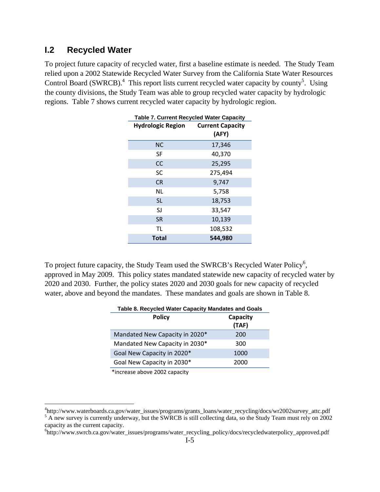## **I.2 Recycled Water**

To project future capacity of recycled water, first a baseline estimate is needed. The Study Team relied upon a 2002 Statewide Recycled Water Survey from the California State Water Resources Control Board (SWRCB).<sup>4</sup> This report lists current recycled water capacity by county<sup>5</sup>. Using the county divisions, the Study Team was able to group recycled water capacity by hydrologic regions. Table 7 shows current recycled water capacity by hydrologic region.

| <b>Hydrologic Region Current Capacity</b> | (AFY)   |
|-------------------------------------------|---------|
| NC.                                       | 17,346  |
| <b>SF</b>                                 | 40,370  |
| CC                                        | 25,295  |
| SC                                        | 275,494 |
| <b>CR</b>                                 | 9,747   |
| ΝL                                        | 5,758   |
| <b>SL</b>                                 | 18,753  |
| SJ                                        | 33,547  |
| <b>SR</b>                                 | 10,139  |
| TL                                        | 108,532 |
| <b>Total</b>                              | 544,980 |

To project future capacity, the Study Team used the SWRCB's Recycled Water Policy<sup>6</sup>, approved in May 2009. This policy states mandated statewide new capacity of recycled water by 2020 and 2030. Further, the policy states 2020 and 2030 goals for new capacity of recycled water, above and beyond the mandates. These mandates and goals are shown in Table 8.

| Table 8. Recycled Water Capacity Mandates and Goals |                   |  |  |  |  |  |  |  |
|-----------------------------------------------------|-------------------|--|--|--|--|--|--|--|
| <b>Policy</b>                                       | Capacity<br>(TAF) |  |  |  |  |  |  |  |
| Mandated New Capacity in 2020*                      | 200               |  |  |  |  |  |  |  |
| Mandated New Capacity in 2030*                      | 300               |  |  |  |  |  |  |  |
| Goal New Capacity in 2020*                          | 1000              |  |  |  |  |  |  |  |
| Goal New Capacity in 2030*                          | 2000              |  |  |  |  |  |  |  |

\*increase above 2002 capacity

<sup>&</sup>lt;sup>4</sup>http://www.waterboards.ca.gov/water\_issues/programs/grants\_loans/water\_recycling/docs/wr2002survey\_attc.pdf<br><sup>5</sup> A new survey is awrently underway, but the SWDCB is still collecting data, so the Study Team must rely on 2 <sup>5</sup> A new survey is currently underway, but the SWRCB is still collecting data, so the Study Team must rely on 2002 capacity as the current capacity.

<sup>6</sup> http://www.swrcb.ca.gov/water\_issues/programs/water\_recycling\_policy/docs/recycledwaterpolicy\_approved.pdf